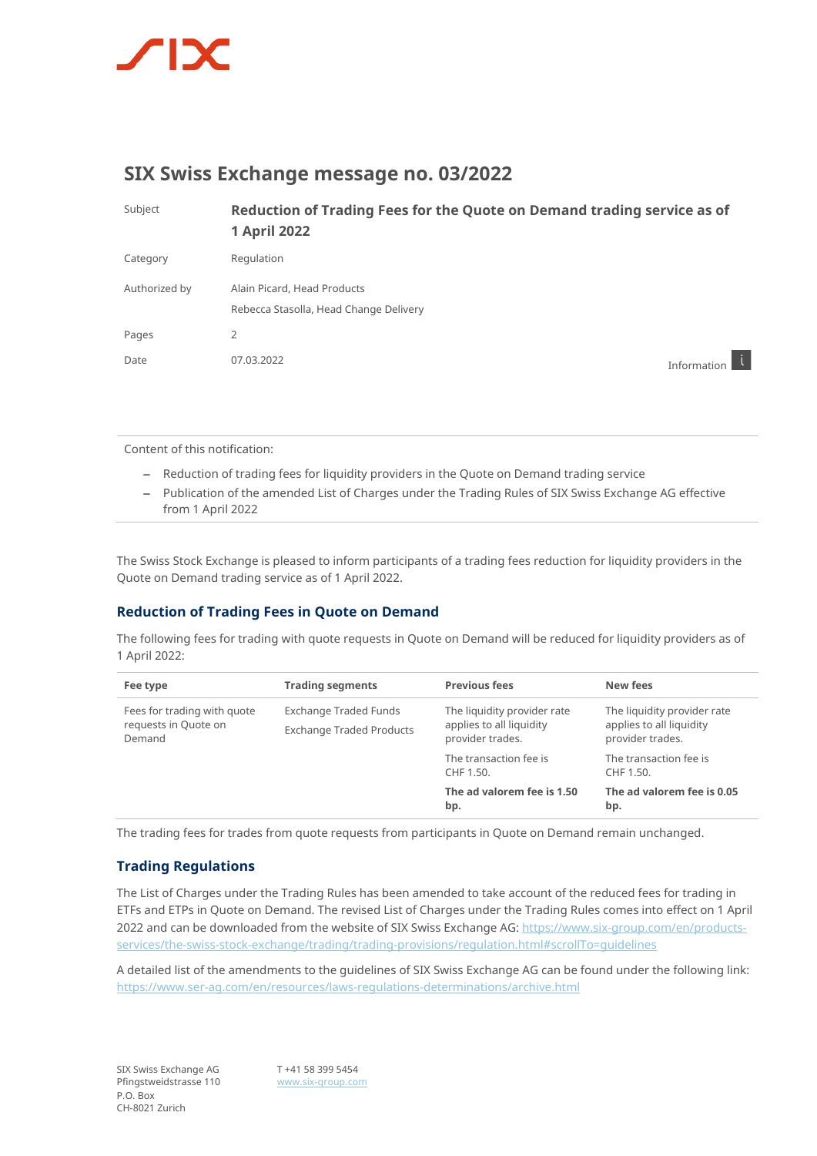

## **SIX Swiss Exchange message no. 03/2022**

| Subject       | Reduction of Trading Fees for the Quote on Demand trading service as of<br><b>1 April 2022</b> |             |
|---------------|------------------------------------------------------------------------------------------------|-------------|
| Category      | Regulation                                                                                     |             |
| Authorized by | Alain Picard, Head Products<br>Rebecca Stasolla, Head Change Delivery                          |             |
| Pages         | 2                                                                                              |             |
| Date          | 07.03.2022                                                                                     | Information |

Content of this notification:

- Reduction of trading fees for liquidity providers in the Quote on Demand trading service
- Publication of the amended List of Charges under the Trading Rules of SIX Swiss Exchange AG effective from 1 April 2022

The Swiss Stock Exchange is pleased to inform participants of a trading fees reduction for liquidity providers in the Quote on Demand trading service as of 1 April 2022.

## **Reduction of Trading Fees in Quote on Demand**

The following fees for trading with quote requests in Quote on Demand will be reduced for liquidity providers as of 1 April 2022:

| Fee type                                                      | <b>Trading segments</b>                                  | <b>Previous fees</b>                                                        | New fees                                                                    |
|---------------------------------------------------------------|----------------------------------------------------------|-----------------------------------------------------------------------------|-----------------------------------------------------------------------------|
| Fees for trading with quote<br>requests in Quote on<br>Demand | Exchange Traded Funds<br><b>Exchange Traded Products</b> | The liquidity provider rate<br>applies to all liquidity<br>provider trades. | The liquidity provider rate<br>applies to all liquidity<br>provider trades. |
|                                                               |                                                          | The transaction fee is<br>CHF 1.50.                                         | The transaction fee is<br>CHF 1.50.                                         |
|                                                               |                                                          | The ad valorem fee is 1.50<br>bp.                                           | The ad valorem fee is 0.05<br>bp.                                           |

The trading fees for trades from quote requests from participants in Quote on Demand remain unchanged.

## **Trading Regulations**

The List of Charges under the Trading Rules has been amended to take account of the reduced fees for trading in ETFs and ETPs in Quote on Demand. The revised List of Charges under the Trading Rules comes into effect on 1 April 2022 and can be downloaded from the website of SIX Swiss Exchange AG[: https://www.six-group.com/en/products](https://www.six-group.com/en/products-services/the-swiss-stock-exchange/trading/trading-provisions/regulation.html#scrollTo=guidelines)[services/the-swiss-stock-exchange/trading/trading-provisions/regulation.html#scrollTo=guidelines](https://www.six-group.com/en/products-services/the-swiss-stock-exchange/trading/trading-provisions/regulation.html#scrollTo=guidelines)

A detailed list of the amendments to the guidelines of SIX Swiss Exchange AG can be found under the following lin[k:](https://www.ser-ag.com/en/resources/laws-regulations-determinations/archive.html) <https://www.ser-ag.com/en/resources/laws-regulations-determinations/archive.html>

T +41 58 399 5454 [www.six-group.com](http://www.six-group.com/)